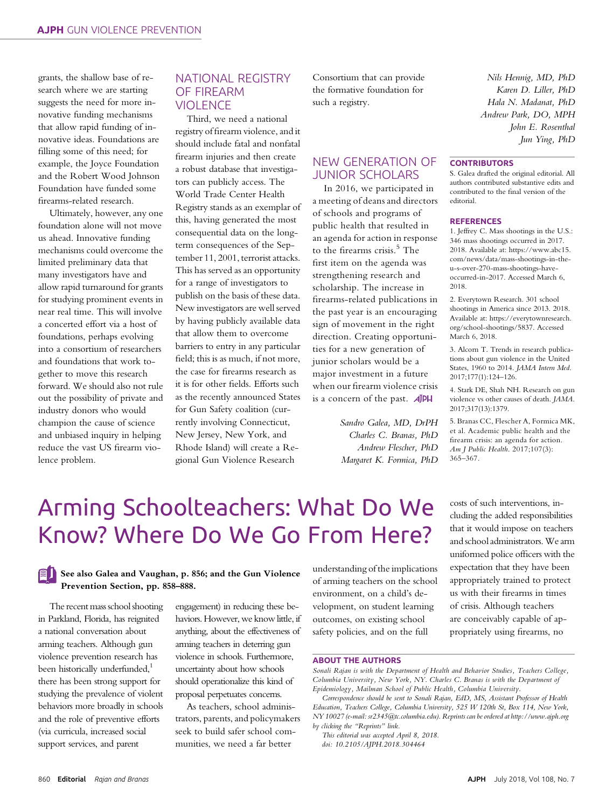grants, the shallow base of research where we are starting suggests the need for more innovative funding mechanisms that allow rapid funding of innovative ideas. Foundations are filling some of this need; for example, the Joyce Foundation and the Robert Wood Johnson Foundation have funded some firearms-related research.

Ultimately, however, any one foundation alone will not move us ahead. Innovative funding mechanisms could overcome the limited preliminary data that many investigators have and allow rapid turnaround for grants for studying prominent events in near real time. This will involve a concerted effort via a host of foundations, perhaps evolving into a consortium of researchers and foundations that work together to move this research forward. We should also not rule out the possibility of private and industry donors who would champion the cause of science and unbiased inquiry in helping reduce the vast US firearm violence problem.

### NATIONAL REGISTRY OF FIREARM VIOLENCE

Third, we need a national registry of firearm violence, and it should include fatal and nonfatal firearm injuries and then create a robust database that investigators can publicly access. The World Trade Center Health Registry stands as an exemplar of this, having generated the most consequential data on the longterm consequences of the September 11, 2001, terrorist attacks. This has served as an opportunity for a range of investigators to publish on the basis of these data. New investigators are well served by having publicly available data that allow them to overcome barriers to entry in any particular field; this is as much, if not more, the case for firearms research as it is for other fields. Efforts such as the recently announced States for Gun Safety coalition (currently involving Connecticut, New Jersey, New York, and Rhode Island) will create a Regional Gun Violence Research

Consortium that can provide the formative foundation for such a registry.

## NEW GENERATION OF JUNIOR SCHOLARS

In 2016, we participated in a meeting of deans and directors of schools and programs of public health that resulted in an agenda for action in response to the firearms crisis.<sup>5</sup> The first item on the agenda was strengthening research and scholarship. The increase in firearms-related publications in the past year is an encouraging sign of movement in the right direction. Creating opportunities for a new generation of junior scholars would be a major investment in a future when our firearm violence crisis is a concern of the past.  $\vec{A}$ PH

> Sandro Galea, MD, DrPH Charles C. Branas, PhD Andrew Flescher, PhD Margaret K. Formica, PhD

Nils Hennig, MD, PhD Karen D. Liller, PhD Hala N. Madanat, PhD Andrew Park, DO, MPH John E. Rosenthal Jun Ying, PhD

#### **CONTRIBUTORS**

S. Galea drafted the original editorial. All authors contributed substantive edits and contributed to the final version of the editorial.

#### **REFERENCES**

1. Jeffrey C. Mass shootings in the U.S.: 346 mass shootings occurred in 2017. 2018. Available at: [https://www.abc15.](https://www.abc15.com/news/data/mass-shootings-in-the-u-s-over-270-mass-shootings-have-occurred-in-2017) [com/news/data/mass-shootings-in-the](https://www.abc15.com/news/data/mass-shootings-in-the-u-s-over-270-mass-shootings-have-occurred-in-2017)[u-s-over-270-mass-shootings-have](https://www.abc15.com/news/data/mass-shootings-in-the-u-s-over-270-mass-shootings-have-occurred-in-2017)[occurred-in-2017](https://www.abc15.com/news/data/mass-shootings-in-the-u-s-over-270-mass-shootings-have-occurred-in-2017). Accessed March 6, 2018.

2. Everytown Research. 301 school shootings in America since 2013. 2018. Available at: [https://everytownresearch.](https://everytownresearch.org/school-shootings/5837) [org/school-shootings/5837](https://everytownresearch.org/school-shootings/5837). Accessed March 6, 2018.

3. Alcorn T. Trends in research publications about gun violence in the United States, 1960 to 2014. JAMA Intern Med. 2017;177(1):124–126.

4. Stark DE, Shah NH. Research on gun violence vs other causes of death. JAMA. 2017;317(13):1379.

5. Branas CC, Flescher A, Formica MK, et al. Academic public health and the firearm crisis: an agenda for action. Am J Public Health. 2017;107(3): 365–367.

## Arming Schoolteachers: What Do We Know? Where Do We Go From Here?

#### See also Galea and Vaughan, p. 856; and the Gun Violence Prevention Section, pp. 858–888.

The recent mass school shooting in Parkland, Florida, has reignited a national conversation about arming teachers. Although gun violence prevention research has been historically underfunded,<sup>1</sup> there has been strong support for studying the prevalence of violent behaviors more broadly in schools and the role of preventive efforts (via curricula, increased social support services, and parent

engagement) in reducing these behaviors. However, we know little, if anything, about the effectiveness of arming teachers in deterring gun violence in schools. Furthermore, uncertainty about how schools should operationalize this kind of proposal perpetuates concerns.

As teachers, school administrators, parents, and policymakers seek to build safer school communities, we need a far better

understanding of the implications of arming teachers on the school environment, on a child's development, on student learning outcomes, on existing school safety policies, and on the full

costs of such interventions, including the added responsibilities that it would impose on teachers and school administrators.We arm uniformed police officers with the expectation that they have been appropriately trained to protect us with their firearms in times of crisis. Although teachers are conceivably capable of appropriately using firearms, no

#### ABOUT THE AUTHORS

Sonali Rajan is with the Department of Health and Behavior Studies, Teachers College, Columbia University, New York, NY. Charles C. Branas is with the Department of Epidemiology, Mailman School of Public Health, Columbia University.

Correspondence should be sent to Sonali Rajan, EdD, MS, Assistant Professor of Health Education, Teachers College, Columbia University, 525 W 120th St, Box 114, New York, NY 10027 (e-mail: [sr2345@tc.columbia.edu\)](mailto:sr2345@tc.columbia.edu). Reprints can be ordered at<http://www.ajph.org> by clicking the "Reprints" link.

This editorial was accepted April 8, 2018. doi: 10.2105/AJPH.2018.304464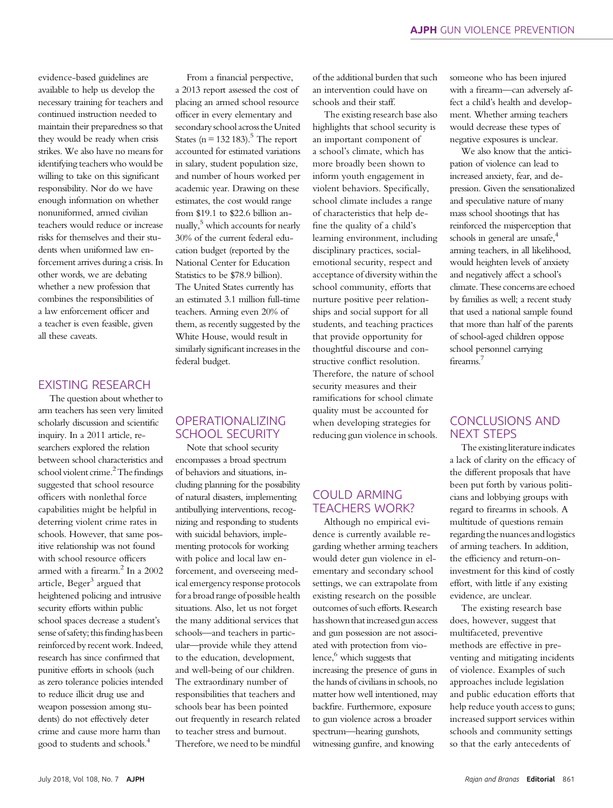evidence-based guidelines are available to help us develop the necessary training for teachers and continued instruction needed to maintain their preparedness so that they would be ready when crisis strikes. We also have no means for identifying teachers who would be willing to take on this significant responsibility. Nor do we have enough information on whether nonuniformed, armed civilian teachers would reduce or increase risks for themselves and their students when uniformed law enforcement arrives during a crisis. In other words, we are debating whether a new profession that combines the responsibilities of a law enforcement officer and a teacher is even feasible, given all these caveats.

#### EXISTING RESEARCH

The question about whether to arm teachers has seen very limited scholarly discussion and scientific inquiry. In a 2011 article, researchers explored the relation between school characteristics and school violent crime.<sup>2</sup> The findings suggested that school resource officers with nonlethal force capabilities might be helpful in deterring violent crime rates in schools. However, that same positive relationship was not found with school resource officers armed with a firearm.<sup>2</sup> In a 2002 article, Beger<sup>3</sup> argued that heightened policing and intrusive security efforts within public school spaces decrease a student's sense of safety; this finding has been reinforced by recent work. Indeed, research has since confirmed that punitive efforts in schools (such as zero tolerance policies intended to reduce illicit drug use and weapon possession among students) do not effectively deter crime and cause more harm than good to students and schools.4

From a financial perspective, a 2013 report assessed the cost of placing an armed school resource officer in every elementary and secondaryschool across the United States ( $n = 132 183$ ).<sup>5</sup> The report accounted for estimated variations in salary, student population size, and number of hours worked per academic year. Drawing on these estimates, the cost would range from \$19.1 to \$22.6 billion annually,<sup>5</sup> which accounts for nearly 30% of the current federal education budget (reported by the National Center for Education Statistics to be \$78.9 billion). The United States currently has an estimated 3.1 million full-time teachers. Arming even 20% of them, as recently suggested by the White House, would result in similarly significant increases in the federal budget.

### OPERATIONALIZING SCHOOL SECURITY

Note that school security encompasses a broad spectrum of behaviors and situations, including planning for the possibility of natural disasters, implementing antibullying interventions, recognizing and responding to students with suicidal behaviors, implementing protocols for working with police and local law enforcement, and overseeing medical emergency response protocols for a broad range of possible health situations. Also, let us not forget the many additional services that schools—and teachers in particular—provide while they attend to the education, development, and well-being of our children. The extraordinary number of responsibilities that teachers and schools bear has been pointed out frequently in research related to teacher stress and burnout. Therefore, we need to be mindful

of the additional burden that such an intervention could have on schools and their staff.

The existing research base also highlights that school security is an important component of a school's climate, which has more broadly been shown to inform youth engagement in violent behaviors. Specifically, school climate includes a range of characteristics that help define the quality of a child's learning environment, including disciplinary practices, socialemotional security, respect and acceptance of diversity within the school community, efforts that nurture positive peer relationships and social support for all students, and teaching practices that provide opportunity for thoughtful discourse and constructive conflict resolution. Therefore, the nature of school security measures and their ramifications for school climate quality must be accounted for when developing strategies for reducing gun violence in schools.

## COULD ARMING TEACHERS WORK?

Although no empirical evidence is currently available regarding whether arming teachers would deter gun violence in elementary and secondary school settings, we can extrapolate from existing research on the possible outcomes of such efforts. Research has shown that increased gun access and gun possession are not associated with protection from violence,<sup>6</sup> which suggests that increasing the presence of guns in the hands of civilians in schools, no matter how well intentioned, may backfire. Furthermore, exposure to gun violence across a broader spectrum—hearing gunshots, witnessing gunfire, and knowing

someone who has been injured with a firearm—can adversely affect a child's health and development. Whether arming teachers would decrease these types of negative exposures is unclear.

We also know that the anticipation of violence can lead to increased anxiety, fear, and depression. Given the sensationalized and speculative nature of many mass school shootings that has reinforced the misperception that schools in general are unsafe, $4\overline{6}$ arming teachers, in all likelihood, would heighten levels of anxiety and negatively affect a school's climate. These concerns are echoed by families as well; a recent study that used a national sample found that more than half of the parents of school-aged children oppose school personnel carrying firearms.<sup>7</sup>

## CONCLUSIONS AND NEXT STEPS

The existing literature indicates a lack of clarity on the efficacy of the different proposals that have been put forth by various politicians and lobbying groups with regard to firearms in schools. A multitude of questions remain regarding the nuances and logistics of arming teachers. In addition, the efficiency and return-oninvestment for this kind of costly effort, with little if any existing evidence, are unclear.

The existing research base does, however, suggest that multifaceted, preventive methods are effective in preventing and mitigating incidents of violence. Examples of such approaches include legislation and public education efforts that help reduce youth access to guns; increased support services within schools and community settings so that the early antecedents of